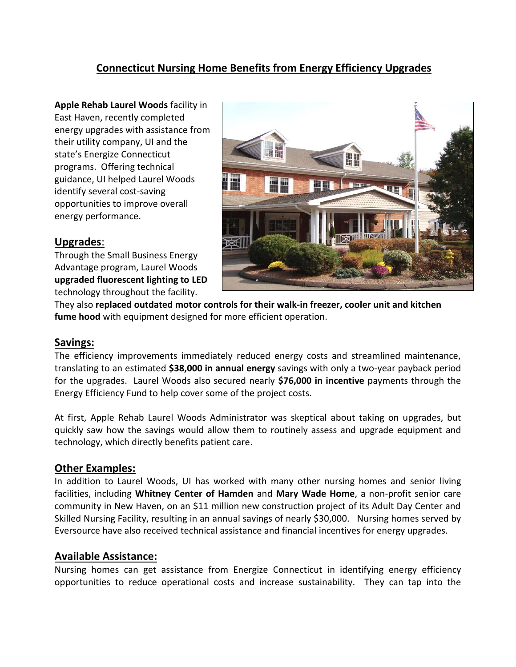# **Connecticut Nursing Home Benefits from Energy Efficiency Upgrades**

**Apple Rehab Laurel Woods** facility in East Haven, recently completed energy upgrades with assistance from their utility company, UI and the state's Energize Connecticut programs. Offering technical guidance, UI helped Laurel Woods identify several cost-saving opportunities to improve overall energy performance.

## **Upgrades**:

Through the Small Business Energy Advantage program, Laurel Woods **upgraded fluorescent lighting to LED** technology throughout the facility.

They also **replaced outdated motor controls for their walk-in freezer, cooler unit and kitchen fume hood** with equipment designed for more efficient operation.

### **Savings:**

The efficiency improvements immediately reduced energy costs and streamlined maintenance, translating to an estimated **\$38,000 in annual energy** savings with only a two-year payback period for the upgrades. Laurel Woods also secured nearly **\$76,000 in incentive** payments through the Energy Efficiency Fund to help cover some of the project costs.

At first, Apple Rehab Laurel Woods Administrator was skeptical about taking on upgrades, but quickly saw how the savings would allow them to routinely assess and upgrade equipment and technology, which directly benefits patient care.

### **Other Examples:**

In addition to Laurel Woods, UI has worked with many other nursing homes and senior living facilities, including **Whitney Center of Hamden** and **Mary Wade Home**, a non-profit senior care community in New Haven, on an \$11 million new construction project of its Adult Day Center and Skilled Nursing Facility, resulting in an annual savings of nearly \$30,000. Nursing homes served by Eversource have also received technical assistance and financial incentives for energy upgrades.

### **Available Assistance:**

Nursing homes can get assistance from Energize Connecticut in identifying energy efficiency opportunities to reduce operational costs and increase sustainability. They can tap into the